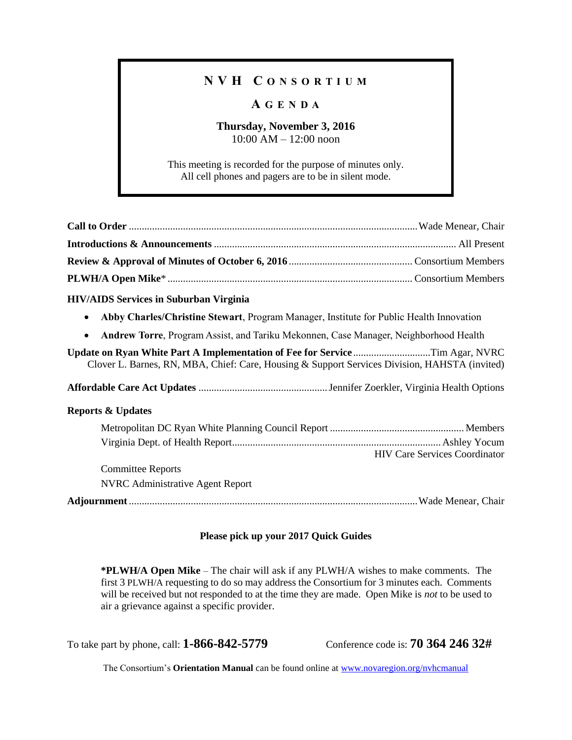## **N V H C O N S O R T I U M**

### **A G E N D A**

#### **Thursday, November 3, 2016** 10:00 AM – 12:00 noon

This meeting is recorded for the purpose of minutes only. All cell phones and pagers are to be in silent mode.

| <b>HIV/AIDS Services in Suburban Virginia</b>                                                                                                                                |  |  |  |  |
|------------------------------------------------------------------------------------------------------------------------------------------------------------------------------|--|--|--|--|
| Abby Charles/Christine Stewart, Program Manager, Institute for Public Health Innovation<br>$\bullet$                                                                         |  |  |  |  |
| Andrew Torre, Program Assist, and Tariku Mekonnen, Case Manager, Neighborhood Health<br>$\bullet$                                                                            |  |  |  |  |
| Update on Ryan White Part A Implementation of Fee for ServiceTim Agar, NVRC<br>Clover L. Barnes, RN, MBA, Chief: Care, Housing & Support Services Division, HAHSTA (invited) |  |  |  |  |
|                                                                                                                                                                              |  |  |  |  |
| <b>Reports &amp; Updates</b>                                                                                                                                                 |  |  |  |  |
|                                                                                                                                                                              |  |  |  |  |
| <b>HIV Care Services Coordinator</b><br><b>Committee Reports</b><br><b>NVRC</b> Administrative Agent Report                                                                  |  |  |  |  |
|                                                                                                                                                                              |  |  |  |  |

#### **Please pick up your 2017 Quick Guides**

**\*PLWH/A Open Mike** – The chair will ask if any PLWH/A wishes to make comments. The first 3 PLWH/A requesting to do so may address the Consortium for 3 minutes each. Comments will be received but not responded to at the time they are made. Open Mike is *not* to be used to air a grievance against a specific provider.

To take part by phone, call: **1-866-842-5779** Conference code is: **70 364 246 32#**

The Consortium's **Orientation Manual** can be found online at [www.novaregion.org/nvhcmanual](http://www.novaregion.org/nvhcmanual)